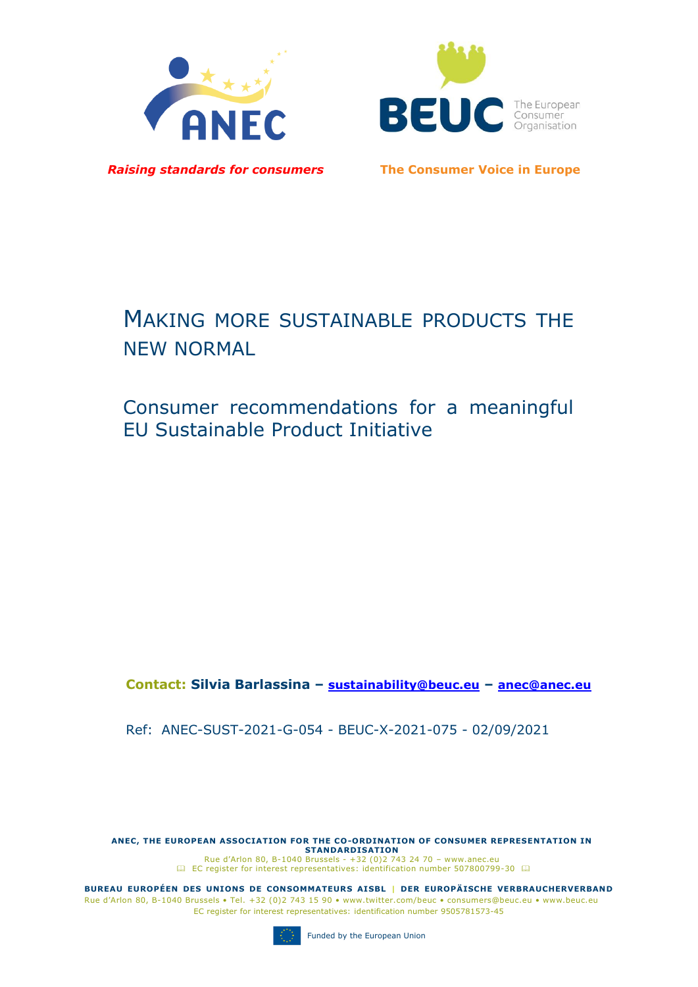



*Raising standards for consumers* **The Consumer Voice in Europe**

# MAKING MORE SUSTAINABLE PRODUCTS THE NEW NORMAL

Consumer recommendations for a meaningful EU Sustainable Product Initiative

**Contact: Silvia Barlassina – sustainability@beuc.eu – anec@anec.eu**

Ref: ANEC-SUST-2021-G-054 - BEUC-X-2021-075 - 02/09/2021

**ANEC, THE EUROPEAN ASSOCIATION FOR THE CO-ORDINATION OF CONSUMER REPRESENTATION IN STANDARDISATION**  Rue d'Arlon 80, B-1040 Brussels - +32 (0)2 743 24 70 – www.anec.eu [EC register for interest representatives:](https://webgate.ec.europa.eu/transparency/regrin/welcome.do?locale=en#en) identification number 507800799-30  $\Box$ 

**BUREAU EUROPÉEN DES UNIONS DE CONSOMMATEURS AISBL | DER EUROPÄISCHE VERBRAUCHERVERBAND** Rue d'Arlon 80, B-1040 Brussels • Tel. +32 (0)2 743 15 90 • www.twitter.com/beuc • consumers@beuc.eu • www.beuc.eu EC register for interest representatives: identification number 9505781573-45

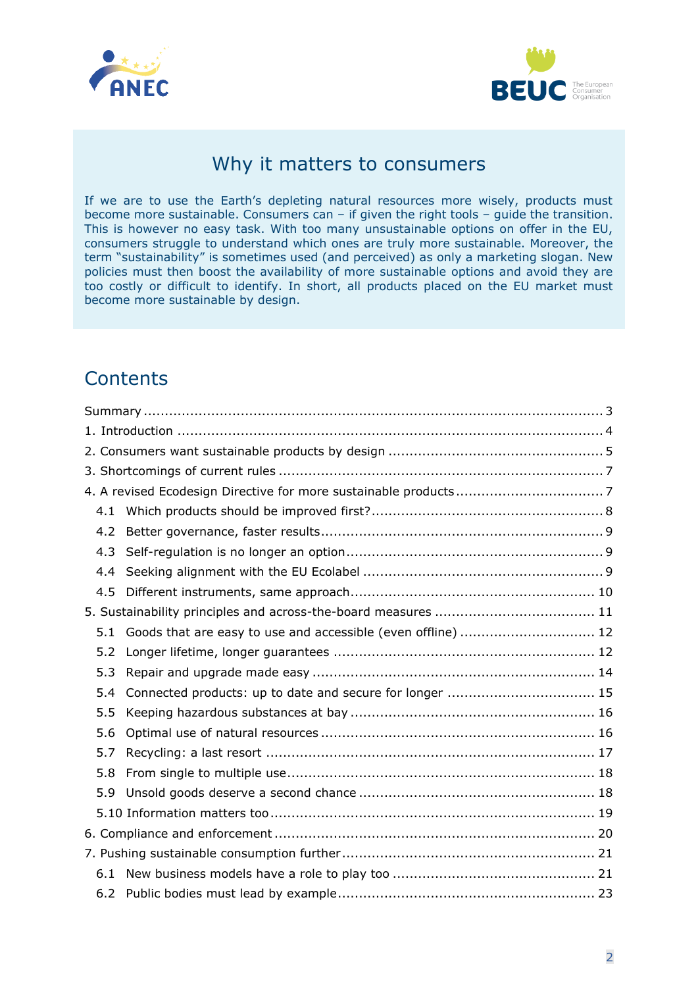



## Why it matters to consumers

If we are to use the Earth's depleting natural resources more wisely, products must become more sustainable. Consumers can – if given the right tools – guide the transition. This is however no easy task. With too many unsustainable options on offer in the EU, consumers struggle to understand which ones are truly more sustainable. Moreover, the term "sustainability" is sometimes used (and perceived) as only a marketing slogan. New policies must then boost the availability of more sustainable options and avoid they are too costly or difficult to identify. In short, all products placed on the EU market must become more sustainable by design.

## **Contents**

| 4.2 |                                                              |  |
|-----|--------------------------------------------------------------|--|
| 4.3 |                                                              |  |
| 4.4 |                                                              |  |
| 4.5 |                                                              |  |
|     |                                                              |  |
| 5.1 | Goods that are easy to use and accessible (even offline)  12 |  |
| 5.2 |                                                              |  |
| 5.3 |                                                              |  |
| 5.4 | Connected products: up to date and secure for longer  15     |  |
| 5.5 |                                                              |  |
| 5.6 |                                                              |  |
| 5.7 |                                                              |  |
| 5.8 |                                                              |  |
| 5.9 |                                                              |  |
|     |                                                              |  |
|     |                                                              |  |
|     |                                                              |  |
|     |                                                              |  |
|     |                                                              |  |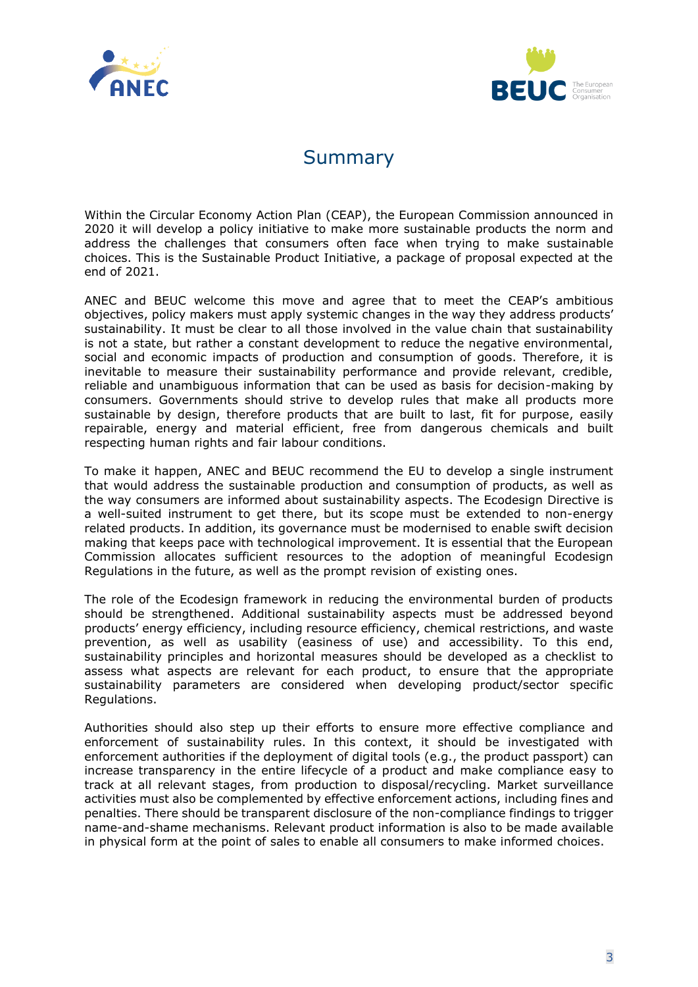



## Summary

<span id="page-2-0"></span>Within the Circular Economy Action Plan (CEAP), the European Commission announced in 2020 it will develop a policy initiative to make more sustainable products the norm and address the challenges that consumers often face when trying to make sustainable choices. This is the Sustainable Product Initiative, a package of proposal expected at the end of 2021.

ANEC and BEUC welcome this move and agree that to meet the CEAP's ambitious objectives, policy makers must apply systemic changes in the way they address products' sustainability. It must be clear to all those involved in the value chain that sustainability is not a state, but rather a constant development to reduce the negative environmental, social and economic impacts of production and consumption of goods. Therefore, it is inevitable to measure their sustainability performance and provide relevant, credible, reliable and unambiguous information that can be used as basis for decision-making by consumers. Governments should strive to develop rules that make all products more sustainable by design, therefore products that are built to last, fit for purpose, easily repairable, energy and material efficient, free from dangerous chemicals and built respecting human rights and fair labour conditions.

To make it happen, ANEC and BEUC recommend the EU to develop a single instrument that would address the sustainable production and consumption of products, as well as the way consumers are informed about sustainability aspects. The Ecodesign Directive is a well-suited instrument to get there, but its scope must be extended to non-energy related products. In addition, its governance must be modernised to enable swift decision making that keeps pace with technological improvement. It is essential that the European Commission allocates sufficient resources to the adoption of meaningful Ecodesign Regulations in the future, as well as the prompt revision of existing ones.

The role of the Ecodesign framework in reducing the environmental burden of products should be strengthened. Additional sustainability aspects must be addressed beyond products' energy efficiency, including resource efficiency, chemical restrictions, and waste prevention, as well as usability (easiness of use) and accessibility. To this end, sustainability principles and horizontal measures should be developed as a checklist to assess what aspects are relevant for each product, to ensure that the appropriate sustainability parameters are considered when developing product/sector specific Regulations.

Authorities should also step up their efforts to ensure more effective compliance and enforcement of sustainability rules. In this context, it should be investigated with enforcement authorities if the deployment of digital tools (e.g., the product passport) can increase transparency in the entire lifecycle of a product and make compliance easy to track at all relevant stages, from production to disposal/recycling. Market surveillance activities must also be complemented by effective enforcement actions, including fines and penalties. There should be transparent disclosure of the non-compliance findings to trigger name-and-shame mechanisms. Relevant product information is also to be made available in physical form at the point of sales to enable all consumers to make informed choices.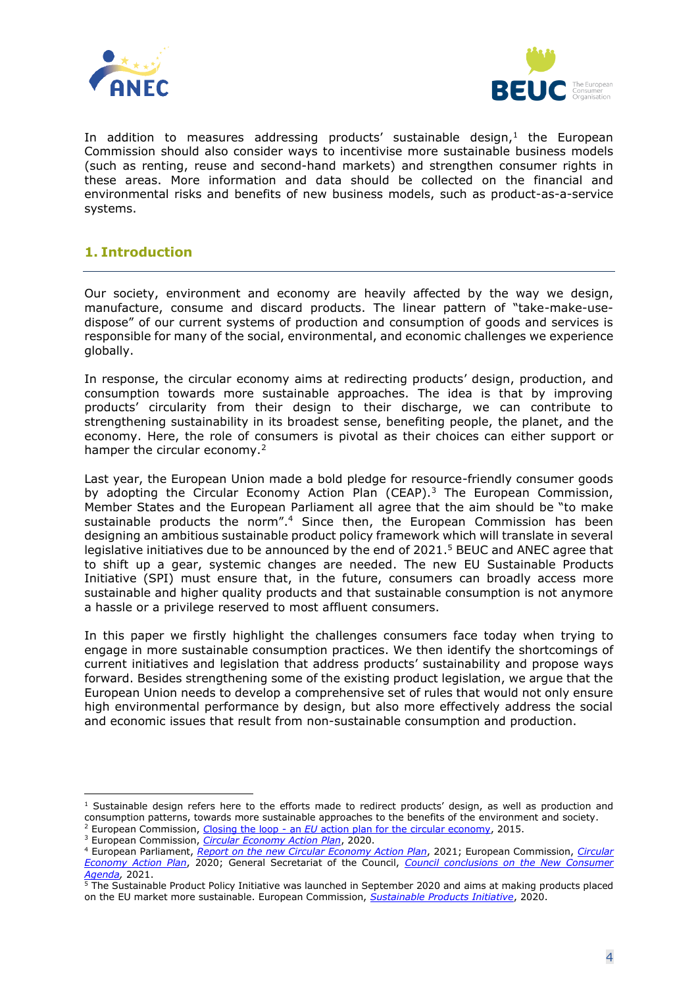



In addition to measures addressing products' sustainable design, $<sup>1</sup>$  the European</sup> Commission should also consider ways to incentivise more sustainable business models (such as renting, reuse and second-hand markets) and strengthen consumer rights in these areas. More information and data should be collected on the financial and environmental risks and benefits of new business models, such as product-as-a-service systems.

#### <span id="page-3-0"></span>**1. Introduction**

Our society, environment and economy are heavily affected by the way we design, manufacture, consume and discard products. The linear pattern of "take-make-usedispose" of our current systems of production and consumption of goods and services is responsible for many of the social, environmental, and economic challenges we experience globally.

In response, the circular economy aims at redirecting products' design, production, and consumption towards more sustainable approaches. The idea is that by improving products' circularity from their design to their discharge, we can contribute to strengthening sustainability in its broadest sense, benefiting people, the planet, and the economy. Here, the role of consumers is pivotal as their choices can either support or hamper the circular economy.<sup>2</sup>

Last year, the European Union made a bold pledge for resource-friendly consumer goods by adopting the Circular Economy Action Plan (CEAP).<sup>3</sup> The European Commission, Member States and the European Parliament all agree that the aim should be "to make sustainable products the norm". <sup>4</sup> Since then, the European Commission has been designing an ambitious sustainable product policy framework which will translate in several legislative initiatives due to be announced by the end of 2021.<sup>5</sup> BEUC and ANEC agree that to shift up a gear, systemic changes are needed. The new EU Sustainable Products Initiative (SPI) must ensure that, in the future, consumers can broadly access more sustainable and higher quality products and that sustainable consumption is not anymore a hassle or a privilege reserved to most affluent consumers.

In this paper we firstly highlight the challenges consumers face today when trying to engage in more sustainable consumption practices. We then identify the shortcomings of current initiatives and legislation that address products' sustainability and propose ways forward. Besides strengthening some of the existing product legislation, we argue that the European Union needs to develop a comprehensive set of rules that would not only ensure high environmental performance by design, but also more effectively address the social and economic issues that result from non-sustainable consumption and production.

 $1$  Sustainable design refers here to the efforts made to redirect products' design, as well as production and consumption patterns, towards more sustainable approaches to the benefits of the environment and society.

<sup>2</sup> European Commission, *C*losing the loop - an *EU* [action plan for the circular economy,](https://eur-lex.europa.eu/legal-content/EN/TXT/?uri=CELEX%3A52015DC0614) 2015.

<sup>3</sup> European Commission, *[Circular Economy Action Plan](https://ec.europa.eu/environment/circular-economy/pdf/new_circular_economy_action_plan.pdf)*, 2020.

<sup>4</sup> European Parliament, *[Report on the new Circular Economy Action Plan](https://www.europarl.europa.eu/doceo/document/A-9-2021-0008_EN.html)*, 2021; European Commission, *[Circular](https://ec.europa.eu/environment/circular-economy/pdf/new_circular_economy_action_plan.pdf)  [Economy Action Plan](https://ec.europa.eu/environment/circular-economy/pdf/new_circular_economy_action_plan.pdf)*, 2020; General Secretariat of the Council, *[Council conclusions on the New Consumer](https://data.consilium.europa.eu/doc/document/ST-6364-2021-INIT/en/pdf)  [Agenda,](https://data.consilium.europa.eu/doc/document/ST-6364-2021-INIT/en/pdf)* 2021.

<sup>&</sup>lt;sup>5</sup> The Sustainable Product Policy Initiative was launched in September 2020 and aims at making products placed on the EU market more sustainable. European Commission, *[Sustainable Products Initiative](https://ec.europa.eu/info/law/better-regulation/have-your-say/initiatives/12567-Sustainable-products-initiative)*, 2020.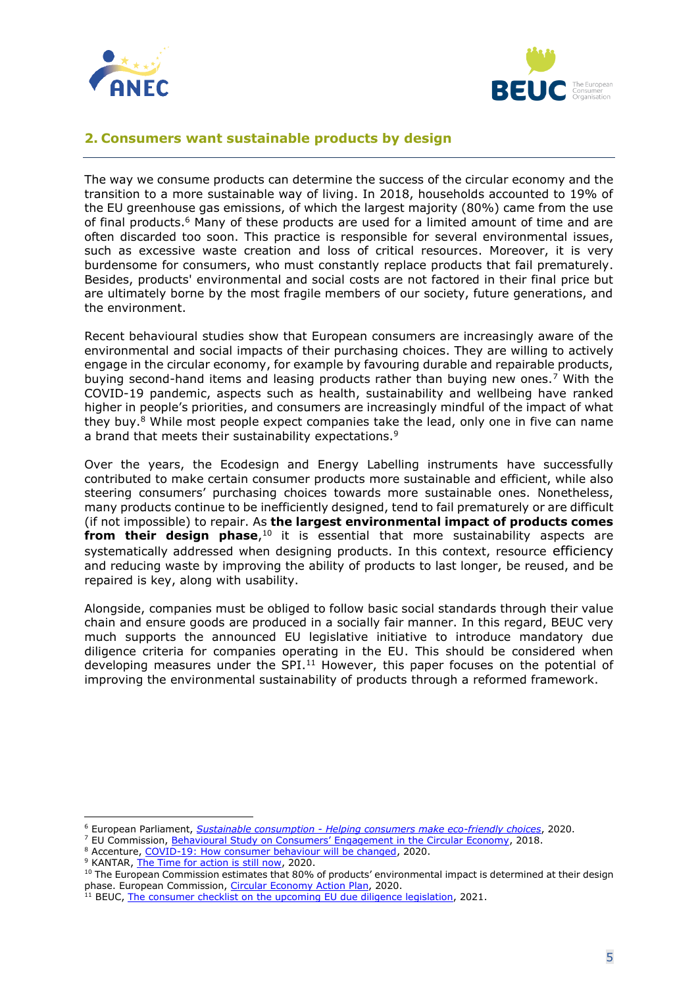



#### <span id="page-4-0"></span>**2. Consumers want sustainable products by design**

The way we consume products can determine the success of the circular economy and the transition to a more sustainable way of living. In 2018, households accounted to 19% of the EU greenhouse gas emissions, of which the largest majority (80%) came from the use of final products. <sup>6</sup> Many of these products are used for a limited amount of time and are often discarded too soon. This practice is responsible for several environmental issues, such as excessive waste creation and loss of critical resources. Moreover, it is very burdensome for consumers, who must constantly replace products that fail prematurely. Besides, products' environmental and social costs are not factored in their final price but are ultimately borne by the most fragile members of our society, future generations, and the environment.

Recent behavioural studies show that European consumers are increasingly aware of the environmental and social impacts of their purchasing choices. They are willing to actively engage in the circular economy, for example by favouring durable and repairable products, buying second-hand items and leasing products rather than buying new ones.<sup>7</sup> With the COVID-19 pandemic, aspects such as health, sustainability and wellbeing have ranked higher in people's priorities, and consumers are increasingly mindful of the impact of what they buy.<sup>8</sup> While most people expect companies take the lead, only one in five can name a brand that meets their sustainability expectations.<sup>9</sup>

Over the years, the Ecodesign and Energy Labelling instruments have successfully contributed to make certain consumer products more sustainable and efficient, while also steering consumers' purchasing choices towards more sustainable ones. Nonetheless, many products continue to be inefficiently designed, tend to fail prematurely or are difficult (if not impossible) to repair. As **the largest environmental impact of products comes from their design phase**,<sup>10</sup> it is essential that more sustainability aspects are systematically addressed when designing products. In this context, resource efficiency and reducing waste by improving the ability of products to last longer, be reused, and be repaired is key, along with usability.

Alongside, companies must be obliged to follow basic social standards through their value chain and ensure goods are produced in a socially fair manner. In this regard, BEUC very much supports the announced EU legislative initiative to introduce mandatory due diligence criteria for companies operating in the EU. This should be considered when developing measures under the SPI.<sup>11</sup> However, this paper focuses on the potential of improving the environmental sustainability of products through a reformed framework.

<sup>6</sup> European Parliament, *Sustainable consumption - [Helping consumers make eco-friendly choices](https://www.europarl.europa.eu/RegData/etudes/BRIE/2020/659295/EPRS_BRI(2020)659295_EN.pdf)*, 2020.

<sup>7</sup> EU Commission, [Behavioural Study on Consumers' Engagement in the Circular Economy](https://ec.europa.eu/info/sites/info/files/ec_circular_economy_final_report_0.pdf), 2018.

<sup>&</sup>lt;sup>8</sup> Accenture[, COVID-19: How consumer behaviour will be changed,](https://www.accenture.com/us-en/insights/consumer-goods-services/coronavirus-consumer-behavior-research) 2020.

<sup>&</sup>lt;sup>9</sup> KANTAR[, The Time for action is still now,](https://kantar.turtl.co/story/whocares-who-does-2020-p/page/6) 2020.

 $10$  The European Commission estimates that 80% of products' environmental impact is determined at their design phase. European Commission, [Circular Economy Action Plan,](https://ec.europa.eu/environment/circular-economy/pdf/new_circular_economy_action_plan.pdf) 2020.

<sup>&</sup>lt;sup>11</sup> BEUC, [The consumer checklist on the upcoming EU due diligence legislation,](https://www.beuc.eu/publications/beuc-x-2021-024_the_consumer_checklist_eu_due_diligence.pdf) 2021.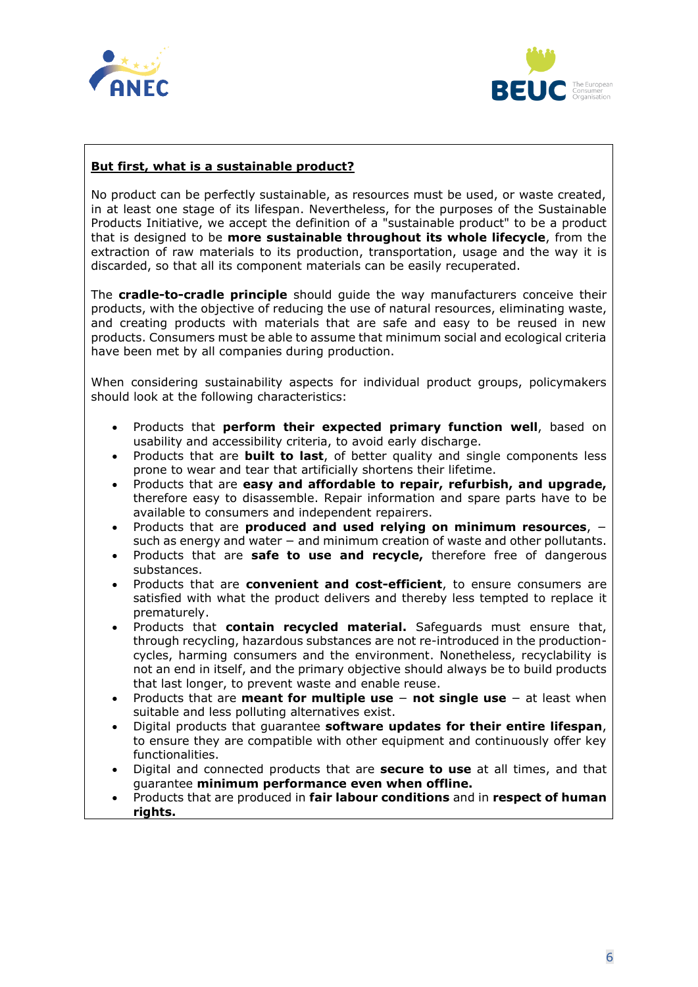



#### **But first, what is a sustainable product?**

No product can be perfectly sustainable, as resources must be used, or waste created, in at least one stage of its lifespan. Nevertheless, for the purposes of the Sustainable Products Initiative, we accept the definition of a "sustainable product" to be a product that is designed to be **more sustainable throughout its whole lifecycle**, from the extraction of raw materials to its production, transportation, usage and the way it is discarded, so that all its component materials can be easily recuperated.

The **cradle-to-cradle principle** should guide the way manufacturers conceive their products, with the objective of reducing the use of natural resources, eliminating waste, and creating products with materials that are safe and easy to be reused in new products. Consumers must be able to assume that minimum social and ecological criteria have been met by all companies during production.

When considering sustainability aspects for individual product groups, policymakers should look at the following characteristics:

- Products that **perform their expected primary function well**, based on usability and accessibility criteria, to avoid early discharge.
- Products that are **built to last**, of better quality and single components less prone to wear and tear that artificially shortens their lifetime.
- Products that are **easy and affordable to repair, refurbish, and upgrade,** therefore easy to disassemble. Repair information and spare parts have to be available to consumers and independent repairers.
- Products that are **produced and used relying on minimum resources**, − such as energy and water – and minimum creation of waste and other pollutants.
- Products that are **safe to use and recycle,** therefore free of dangerous substances.
- Products that are **convenient and cost-efficient**, to ensure consumers are satisfied with what the product delivers and thereby less tempted to replace it prematurely.
- Products that **contain recycled material.** Safeguards must ensure that, through recycling, hazardous substances are not re-introduced in the productioncycles, harming consumers and the environment. Nonetheless, recyclability is not an end in itself, and the primary objective should always be to build products that last longer, to prevent waste and enable reuse.
- Products that are **meant for multiple use** − **not single use** − at least when suitable and less polluting alternatives exist.
- Digital products that guarantee **software updates for their entire lifespan**, to ensure they are compatible with other equipment and continuously offer key functionalities.
- Digital and connected products that are **secure to use** at all times, and that guarantee **minimum performance even when offline.**
- Products that are produced in **fair labour conditions** and in **respect of human rights.**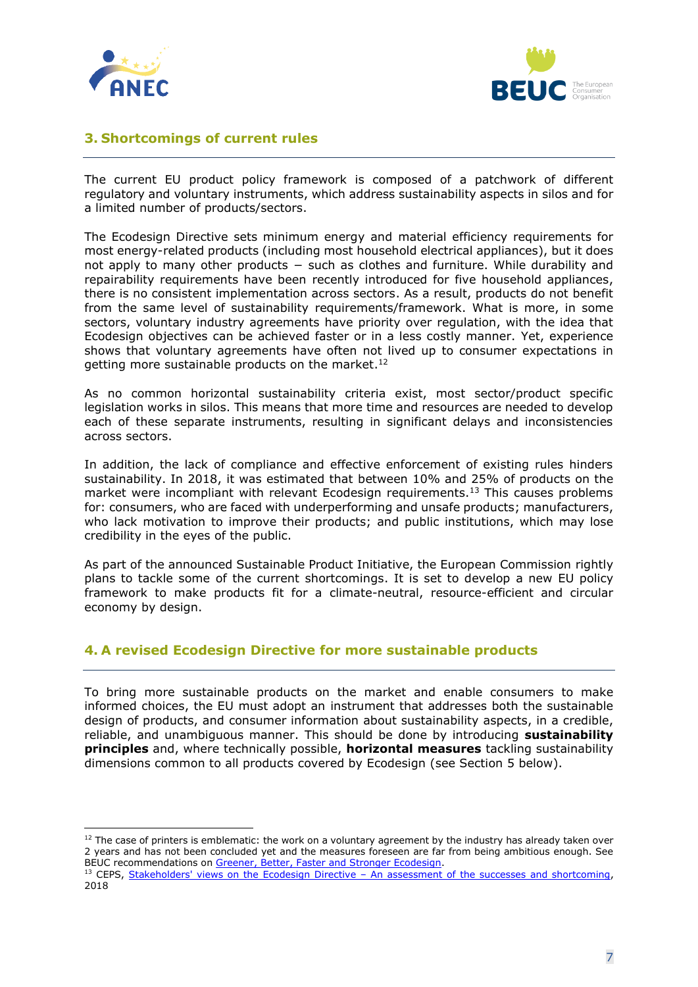



#### <span id="page-6-0"></span>**3. Shortcomings of current rules**

The current EU product policy framework is composed of a patchwork of different regulatory and voluntary instruments, which address sustainability aspects in silos and for a limited number of products/sectors.

The Ecodesign Directive sets minimum energy and material efficiency requirements for most energy-related products (including most household electrical appliances), but it does not apply to many other products – such as clothes and furniture. While durability and repairability requirements have been recently introduced for five household appliances, there is no consistent implementation across sectors. As a result, products do not benefit from the same level of sustainability requirements/framework. What is more, in some sectors, voluntary industry agreements have priority over regulation, with the idea that Ecodesign objectives can be achieved faster or in a less costly manner. Yet, experience shows that voluntary agreements have often not lived up to consumer expectations in getting more sustainable products on the market.<sup>12</sup>

As no common horizontal sustainability criteria exist, most sector/product specific legislation works in silos. This means that more time and resources are needed to develop each of these separate instruments, resulting in significant delays and inconsistencies across sectors.

In addition, the lack of compliance and effective enforcement of existing rules hinders sustainability. In 2018, it was estimated that between 10% and 25% of products on the market were incompliant with relevant Ecodesign requirements.<sup>13</sup> This causes problems for: consumers, who are faced with underperforming and unsafe products; manufacturers, who lack motivation to improve their products; and public institutions, which may lose credibility in the eyes of the public.

As part of the announced Sustainable Product Initiative, the European Commission rightly plans to tackle some of the current shortcomings. It is set to develop a new EU policy framework to make products fit for a climate-neutral, resource-efficient and circular economy by design.

#### <span id="page-6-1"></span>**4. A revised Ecodesign Directive for more sustainable products**

To bring more sustainable products on the market and enable consumers to make informed choices, the EU must adopt an instrument that addresses both the sustainable design of products, and consumer information about sustainability aspects, in a credible, reliable, and unambiguous manner. This should be done by introducing **sustainability principles** and, where technically possible, **horizontal measures** tackling sustainability dimensions common to all products covered by Ecodesign (see Section 5 below).

 $12$  The case of printers is emblematic: the work on a voluntary agreement by the industry has already taken over 2 years and has not been concluded yet and the measures foreseen are far from being ambitious enough. See BEUC recommendations on [Greener, Better, Faster and Stronger Ecodesign.](https://www.beuc.eu/publications/greener-better-faster-stronger-ecodesign)

<sup>&</sup>lt;sup>13</sup> CEPS, Stakeholders' views on the Ecodesign Directive - [An assessment of the successes and shortcoming,](https://www.ceps.eu/wp-content/uploads/2018/03/RRNo2018_02_EcoDesignDirective.pdf) 2018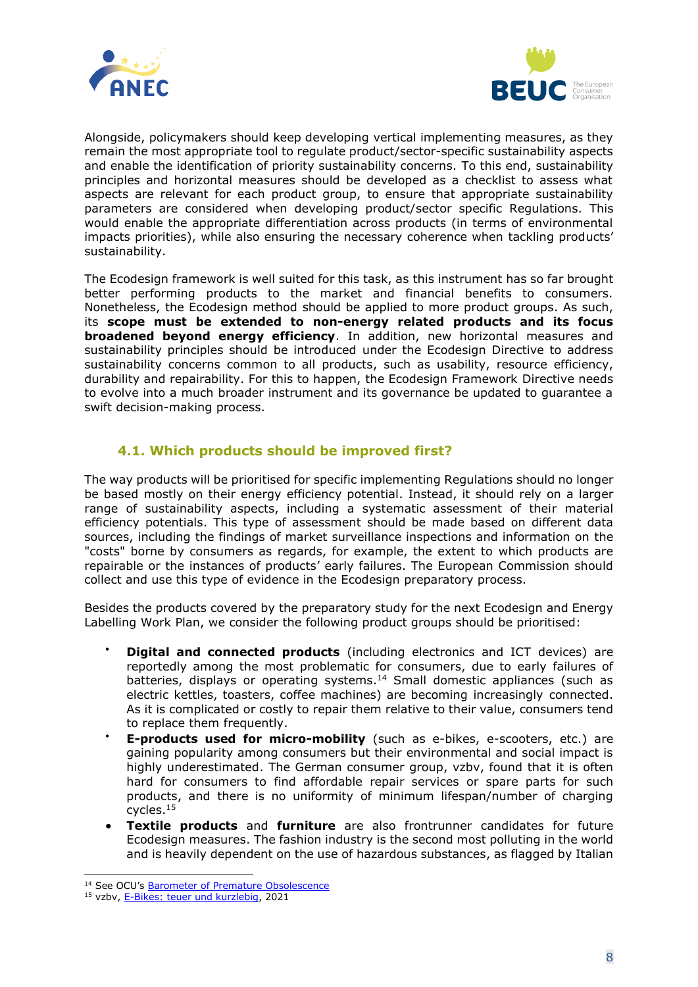



Alongside, policymakers should keep developing vertical implementing measures, as they remain the most appropriate tool to regulate product/sector-specific sustainability aspects and enable the identification of priority sustainability concerns. To this end, sustainability principles and horizontal measures should be developed as a checklist to assess what aspects are relevant for each product group, to ensure that appropriate sustainability parameters are considered when developing product/sector specific Regulations. This would enable the appropriate differentiation across products (in terms of environmental impacts priorities), while also ensuring the necessary coherence when tackling products' sustainability.

The Ecodesign framework is well suited for this task, as this instrument has so far brought better performing products to the market and financial benefits to consumers. Nonetheless, the Ecodesign method should be applied to more product groups. As such, its **scope must be extended to non-energy related products and its focus broadened beyond energy efficiency**. In addition, new horizontal measures and sustainability principles should be introduced under the Ecodesign Directive to address sustainability concerns common to all products, such as usability, resource efficiency, durability and repairability. For this to happen, the Ecodesign Framework Directive needs to evolve into a much broader instrument and its governance be updated to guarantee a swift decision-making process.

#### **4.1. Which products should be improved first?**

<span id="page-7-0"></span>The way products will be prioritised for specific implementing Regulations should no longer be based mostly on their energy efficiency potential. Instead, it should rely on a larger range of sustainability aspects, including a systematic assessment of their material efficiency potentials. This type of assessment should be made based on different data sources, including the findings of market surveillance inspections and information on the "costs" borne by consumers as regards, for example, the extent to which products are repairable or the instances of products' early failures. The European Commission should collect and use this type of evidence in the Ecodesign preparatory process.

Besides the products covered by the preparatory study for the next Ecodesign and Energy Labelling Work Plan, we consider the following product groups should be prioritised:

- **Digital and connected products** (including electronics and ICT devices) are reportedly among the most problematic for consumers, due to early failures of batteries, displays or operating systems. <sup>14</sup> Small domestic appliances (such as electric kettles, toasters, coffee machines) are becoming increasingly connected. As it is complicated or costly to repair them relative to their value, consumers tend to replace them frequently.
- **E-products used for micro-mobility** (such as e-bikes, e-scooters, etc.) are gaining popularity among consumers but their environmental and social impact is highly underestimated. The German consumer group, vzbv, found that it is often hard for consumers to find affordable repair services or spare parts for such products, and there is no uniformity of minimum lifespan/number of charging cycles.<sup>15</sup>
- **Textile products** and **furniture** are also frontrunner candidates for future Ecodesign measures. The fashion industry is the second most polluting in the world and is heavily dependent on the use of hazardous substances, as flagged by Italian

<sup>14</sup> See OCU's [Barometer of Premature Obsolescence](https://www.ocu.org/barometro-de-obsolescencia-prematura)

<sup>&</sup>lt;sup>15</sup> vzbv[, E-Bikes: teuer und kurzlebig,](https://www.vzbv.de/pressemitteilungen/e-bikes-teuer-und-kurzlebig) 2021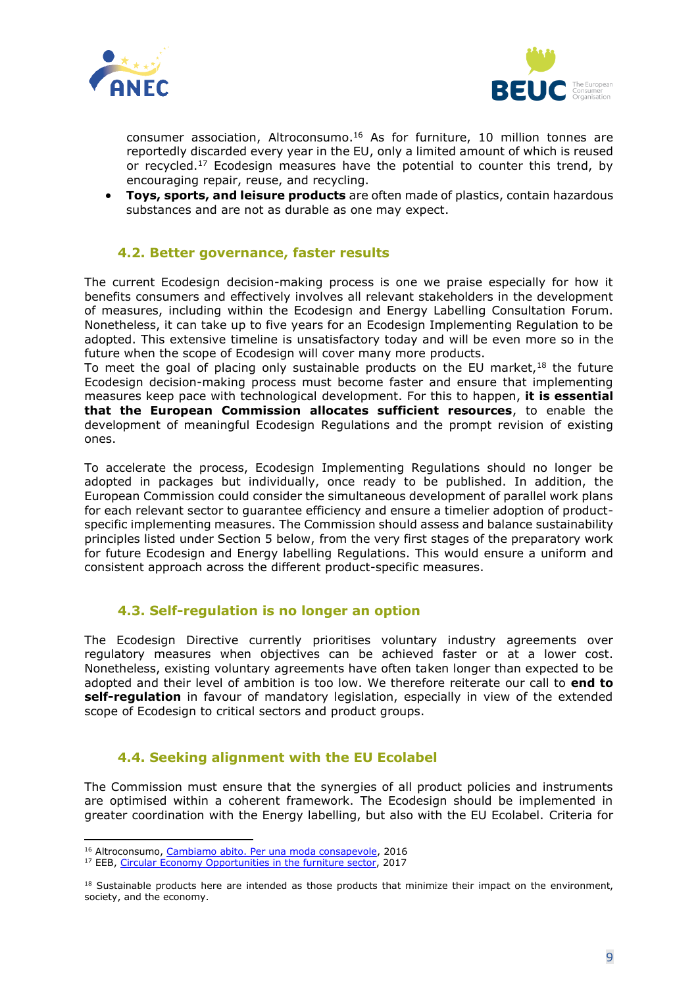



consumer association, Altroconsumo. <sup>16</sup> As for furniture, 10 million tonnes are reportedly discarded every year in the EU, only a limited amount of which is reused or recycled.<sup>17</sup> Ecodesign measures have the potential to counter this trend, by encouraging repair, reuse, and recycling.

• **Toys, sports, and leisure products** are often made of plastics, contain hazardous substances and are not as durable as one may expect.

#### **4.2. Better governance, faster results**

<span id="page-8-0"></span>The current Ecodesign decision-making process is one we praise especially for how it benefits consumers and effectively involves all relevant stakeholders in the development of measures, including within the Ecodesign and Energy Labelling Consultation Forum. Nonetheless, it can take up to five years for an Ecodesign Implementing Regulation to be adopted. This extensive timeline is unsatisfactory today and will be even more so in the future when the scope of Ecodesign will cover many more products.

To meet the goal of placing only sustainable products on the EU market, $18$  the future Ecodesign decision-making process must become faster and ensure that implementing measures keep pace with technological development. For this to happen, **it is essential that the European Commission allocates sufficient resources**, to enable the development of meaningful Ecodesign Regulations and the prompt revision of existing ones.

To accelerate the process, Ecodesign Implementing Regulations should no longer be adopted in packages but individually, once ready to be published. In addition, the European Commission could consider the simultaneous development of parallel work plans for each relevant sector to guarantee efficiency and ensure a timelier adoption of productspecific implementing measures. The Commission should assess and balance sustainability principles listed under Section 5 below, from the very first stages of the preparatory work for future Ecodesign and Energy labelling Regulations. This would ensure a uniform and consistent approach across the different product-specific measures.

#### **4.3. Self-regulation is no longer an option**

<span id="page-8-1"></span>The Ecodesign Directive currently prioritises voluntary industry agreements over regulatory measures when objectives can be achieved faster or at a lower cost. Nonetheless, existing voluntary agreements have often taken longer than expected to be adopted and their level of ambition is too low. We therefore reiterate our call to **end to self-regulation** in favour of mandatory legislation, especially in view of the extended scope of Ecodesign to critical sectors and product groups.

#### **4.4. Seeking alignment with the EU Ecolabel**

<span id="page-8-2"></span>The Commission must ensure that the synergies of all product policies and instruments are optimised within a coherent framework. The Ecodesign should be implemented in greater coordination with the Energy labelling, but also with the EU Ecolabel. Criteria for

<sup>&</sup>lt;sup>16</sup> Altroconsumo, [Cambiamo abito. Per una moda consapevole,](https://www.altroconsumo.it/organizzazione/media-e-press/comunicati/2016/cambiamo-abito-per-una-moda-consapevole-dirittiallamoda) 2016

<sup>&</sup>lt;sup>17</sup> EEB, [Circular Economy Opportunities in the furniture sector,](https://circulareconomy.europa.eu/platform/sites/default/files/eeb_-_ce_in_the_furniture_sector_final_high_res.pdf) 2017

<sup>&</sup>lt;sup>18</sup> Sustainable products here are intended as those products that minimize their impact on the environment, society, and the economy.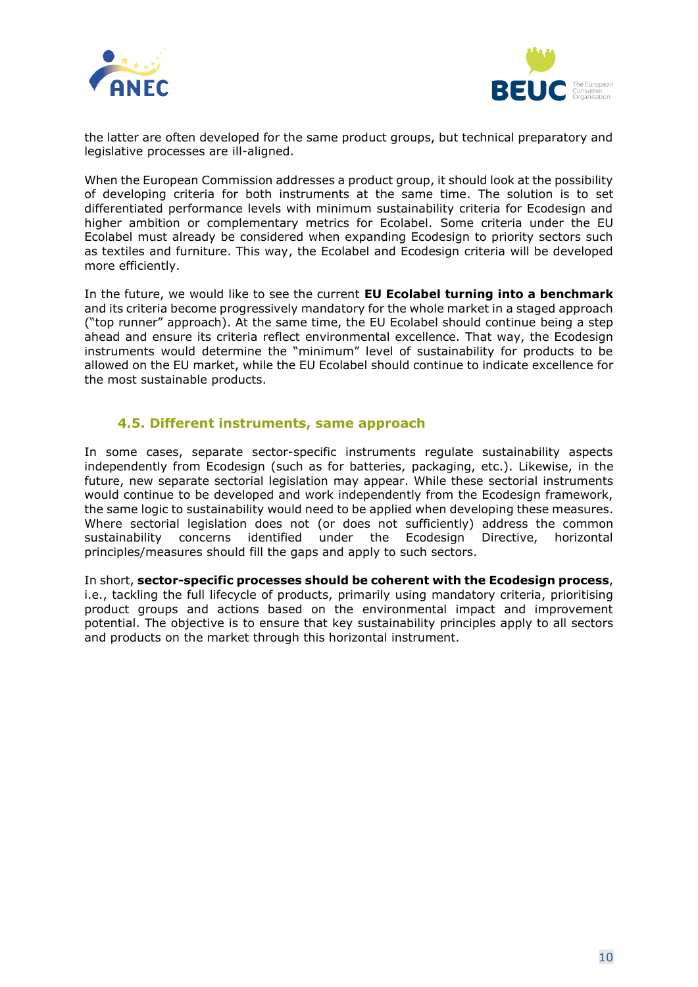



the latter are often developed for the same product groups, but technical preparatory and legislative processes are ill-aligned.

When the European Commission addresses a product group, it should look at the possibility of developing criteria for both instruments at the same time. The solution is to set differentiated performance levels with minimum sustainability criteria for Ecodesign and higher ambition or complementary metrics for Ecolabel. Some criteria under the EU Ecolabel must already be considered when expanding Ecodesign to priority sectors such as textiles and furniture. This way, the Ecolabel and Ecodesign criteria will be developed more efficiently.

In the future, we would like to see the current **EU Ecolabel turning into a benchmark** and its criteria become progressively mandatory for the whole market in a staged approach ("top runner" approach). At the same time, the EU Ecolabel should continue being a step ahead and ensure its criteria reflect environmental excellence. That way, the Ecodesign instruments would determine the "minimum" level of sustainability for products to be allowed on the EU market, while the EU Ecolabel should continue to indicate excellence for the most sustainable products.

#### **4.5. Different instruments, same approach**

<span id="page-9-0"></span>In some cases, separate sector-specific instruments regulate sustainability aspects independently from Ecodesign (such as for batteries, packaging, etc.). Likewise, in the future, new separate sectorial legislation may appear. While these sectorial instruments would continue to be developed and work independently from the Ecodesign framework, the same logic to sustainability would need to be applied when developing these measures. Where sectorial legislation does not (or does not sufficiently) address the common sustainability concerns identified under the Ecodesign Directive, horizontal principles/measures should fill the gaps and apply to such sectors.

In short, **sector-specific processes should be coherent with the Ecodesign process**, i.e., tackling the full lifecycle of products, primarily using mandatory criteria, prioritising product groups and actions based on the environmental impact and improvement potential. The objective is to ensure that key sustainability principles apply to all sectors and products on the market through this horizontal instrument.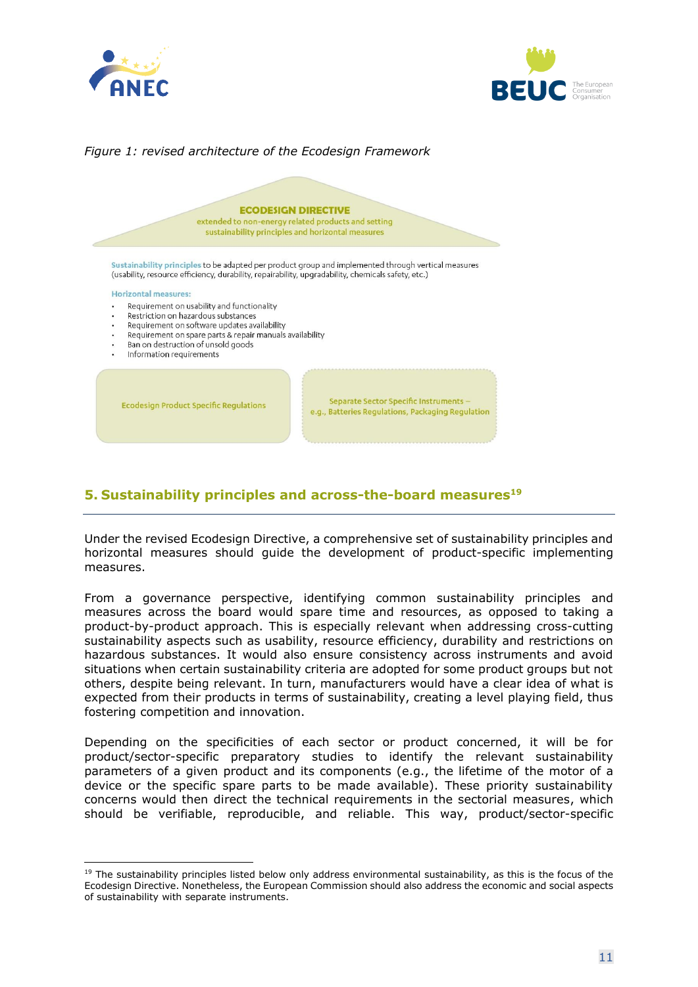



#### *Figure 1: revised architecture of the Ecodesign Framework*



#### <span id="page-10-0"></span>**5. Sustainability principles and across-the-board measures 19**

Under the revised Ecodesign Directive, a comprehensive set of sustainability principles and horizontal measures should guide the development of product-specific implementing measures.

From a governance perspective, identifying common sustainability principles and measures across the board would spare time and resources, as opposed to taking a product-by-product approach. This is especially relevant when addressing cross-cutting sustainability aspects such as usability, resource efficiency, durability and restrictions on hazardous substances. It would also ensure consistency across instruments and avoid situations when certain sustainability criteria are adopted for some product groups but not others, despite being relevant. In turn, manufacturers would have a clear idea of what is expected from their products in terms of sustainability, creating a level playing field, thus fostering competition and innovation.

Depending on the specificities of each sector or product concerned, it will be for product/sector-specific preparatory studies to identify the relevant sustainability parameters of a given product and its components (e.g., the lifetime of the motor of a device or the specific spare parts to be made available). These priority sustainability concerns would then direct the technical requirements in the sectorial measures, which should be verifiable, reproducible, and reliable. This way, product/sector-specific

<sup>&</sup>lt;sup>19</sup> The sustainability principles listed below only address environmental sustainability, as this is the focus of the Ecodesign Directive. Nonetheless, the European Commission should also address the economic and social aspects of sustainability with separate instruments.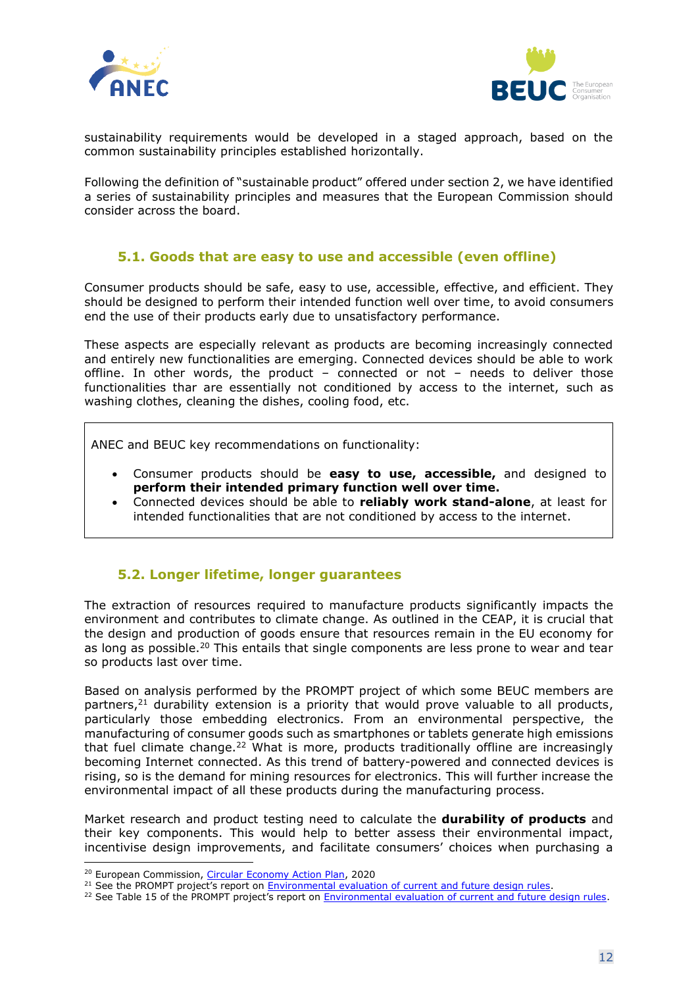



sustainability requirements would be developed in a staged approach, based on the common sustainability principles established horizontally.

Following the definition of "sustainable product" offered under section 2, we have identified a series of sustainability principles and measures that the European Commission should consider across the board.

#### **5.1. Goods that are easy to use and accessible (even offline)**

<span id="page-11-0"></span>Consumer products should be safe, easy to use, accessible, effective, and efficient. They should be designed to perform their intended function well over time, to avoid consumers end the use of their products early due to unsatisfactory performance.

These aspects are especially relevant as products are becoming increasingly connected and entirely new functionalities are emerging. Connected devices should be able to work offline. In other words, the product – connected or not – needs to deliver those functionalities thar are essentially not conditioned by access to the internet, such as washing clothes, cleaning the dishes, cooling food, etc.

ANEC and BEUC key recommendations on functionality:

- Consumer products should be **easy to use, accessible,** and designed to **perform their intended primary function well over time.**
- Connected devices should be able to **reliably work stand-alone**, at least for intended functionalities that are not conditioned by access to the internet.

#### <span id="page-11-1"></span>**5.2. Longer lifetime, longer guarantees**

The extraction of resources required to manufacture products significantly impacts the environment and contributes to climate change. As outlined in the CEAP, it is crucial that the design and production of goods ensure that resources remain in the EU economy for as long as possible.<sup>20</sup> This entails that single components are less prone to wear and tear so products last over time.

Based on analysis performed by the PROMPT project of which some BEUC members are partners,<sup>21</sup> durability extension is a priority that would prove valuable to all products, particularly those embedding electronics. From an environmental perspective, the manufacturing of consumer goods such as smartphones or tablets generate high emissions that fuel climate change.<sup>22</sup> What is more, products traditionally offline are increasingly becoming Internet connected. As this trend of battery-powered and connected devices is rising, so is the demand for mining resources for electronics. This will further increase the environmental impact of all these products during the manufacturing process.

Market research and product testing need to calculate the **durability of products** and their key components. This would help to better assess their environmental impact, incentivise design improvements, and facilitate consumers' choices when purchasing a

<sup>&</sup>lt;sup>20</sup> European Commission, *Circular Economy Action Plan*, 2020

<sup>&</sup>lt;sup>21</sup> See the PROMPT project's report on **Environmental evaluation of current and future design rules**.

<sup>&</sup>lt;sup>22</sup> See Table 15 of the PROMPT project's report on [Environmental evaluation of current and future design rules.](https://prompt-project.eu/wp-content/uploads/2020/07/PROMPT_20200429_Environmental-Evaluation-of-Current-and-Future-Design-Rules.pdf)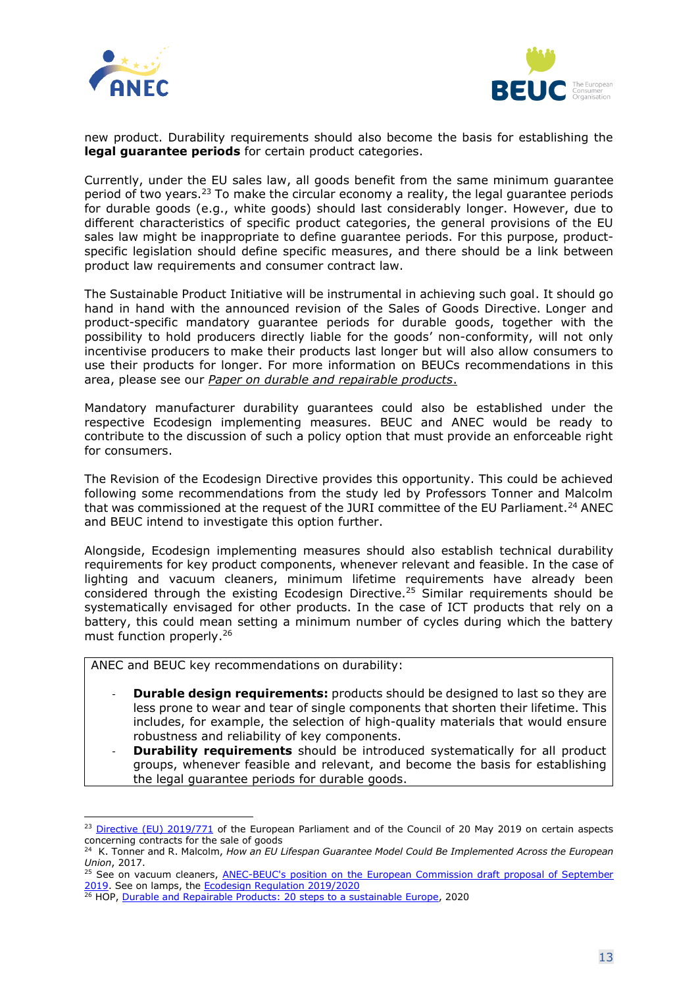



new product. Durability requirements should also become the basis for establishing the **legal quarantee periods** for certain product categories.

Currently, under the EU sales law, all goods benefit from the same minimum guarantee period of two years.<sup>23</sup> To make the circular economy a reality, the legal guarantee periods for durable goods (e.g., white goods) should last considerably longer. However, due to different characteristics of specific product categories, the general provisions of the EU sales law might be inappropriate to define guarantee periods. For this purpose, productspecific legislation should define specific measures, and there should be a link between product law requirements and consumer contract law.

The Sustainable Product Initiative will be instrumental in achieving such goal. It should go hand in hand with the announced revision of the Sales of Goods Directive. Longer and product-specific mandatory guarantee periods for durable goods, together with the possibility to hold producers directly liable for the goods' non-conformity, will not only incentivise producers to make their products last longer but will also allow consumers to use their products for longer. For more information on BEUCs recommendations in this area, please see our *[Paper on durable and repairable products](https://www.beuc.eu/publications/beuc-x-2021-061_durable_and_repairable_products_beuc_position_paper.pdf)*.

Mandatory manufacturer durability guarantees could also be established under the respective Ecodesign implementing measures. BEUC and ANEC would be ready to contribute to the discussion of such a policy option that must provide an enforceable right for consumers.

The Revision of the Ecodesign Directive provides this opportunity. This could be achieved following some recommendations from the study led by Professors Tonner and Malcolm that was commissioned at the request of the JURI committee of the EU Parliament.<sup>24</sup> ANEC and BEUC intend to investigate this option further.

Alongside, Ecodesign implementing measures should also establish technical durability requirements for key product components, whenever relevant and feasible. In the case of lighting and vacuum cleaners, minimum lifetime requirements have already been considered through the existing Ecodesign Directive.<sup>25</sup> Similar requirements should be systematically envisaged for other products. In the case of ICT products that rely on a battery, this could mean setting a minimum number of cycles during which the battery must function properly. 26

ANEC and BEUC key recommendations on durability:

- **Durable design requirements:** products should be designed to last so they are less prone to wear and tear of single components that shorten their lifetime. This includes, for example, the selection of high-quality materials that would ensure robustness and reliability of key components.
- **Durability requirements** should be introduced systematically for all product groups, whenever feasible and relevant, and become the basis for establishing the legal guarantee periods for durable goods.

<span id="page-12-0"></span><sup>&</sup>lt;sup>23</sup> [Directive \(EU\) 2019/771](https://eur-lex.europa.eu/legal-content/EN/TXT/?toc=OJ%3AL%3A2019%3A136%3ATOC&uri=uriserv%3AOJ.L_.2019.136.01.0028.01.ENG) of the European Parliament and of the Council of 20 May 2019 on certain aspects concerning contracts for the sale of goods

<sup>&</sup>lt;sup>24</sup> K. Tonner and R. Malcolm, *How an EU Lifespan Guarantee Model Could Be Implemented Across the European Union*, 2017.

<sup>&</sup>lt;sup>25</sup> See on vacuum cleaners, ANEC-BEUC's position on the European Commission draft proposal of September [2019.](https://www.beuc.eu/publications/beuc-x-2019-100_ecodesign_vacuum_cleaners.pdf) See on lamps, the [Ecodesign Regulation 2019/2020](https://eur-lex.europa.eu/legal-content/EN/TXT/?toc=OJ%3AL%3A2019%3A315%3ATOC&uri=uriserv%3AOJ.L_.2019.315.01.0209.01.ENG)

<sup>26</sup> HOP, [Durable and Repairable Products: 20 steps to a sustainable Europe,](https://www.halteobsolescence.org/wp-content/uploads/2020/11/Livre-Blanc-europeen.pdf) 2020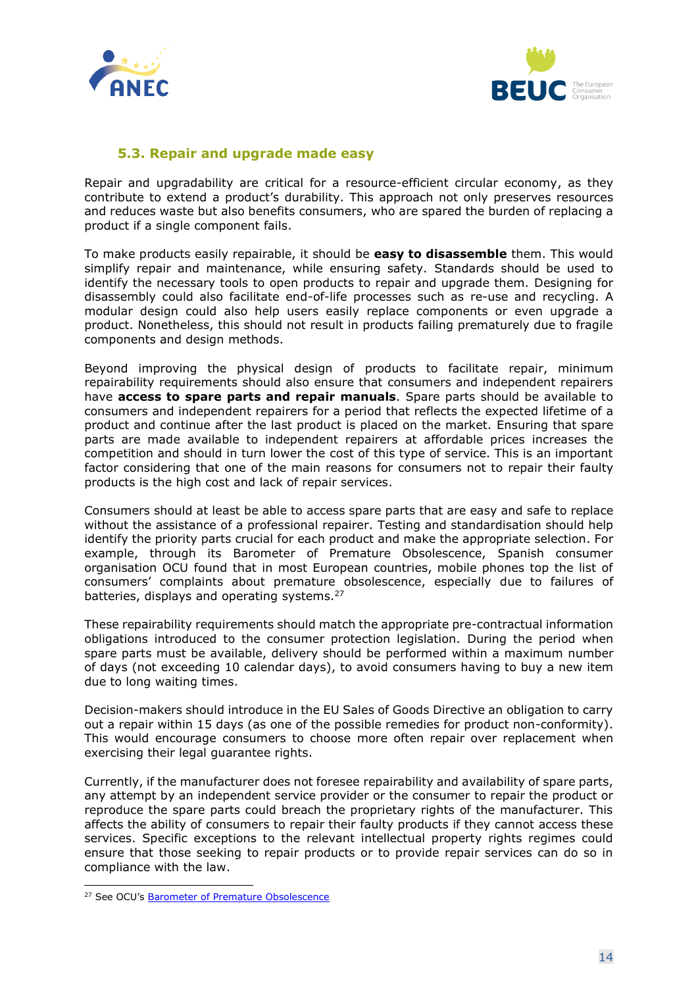



#### **5.3. Repair and upgrade made easy**

Repair and upgradability are critical for a resource-efficient circular economy, as they contribute to extend a product's durability. This approach not only preserves resources and reduces waste but also benefits consumers, who are spared the burden of replacing a product if a single component fails.

To make products easily repairable, it should be **easy to disassemble** them. This would simplify repair and maintenance, while ensuring safety. Standards should be used to identify the necessary tools to open products to repair and upgrade them. Designing for disassembly could also facilitate end-of-life processes such as re-use and recycling. A modular design could also help users easily replace components or even upgrade a product. Nonetheless, this should not result in products failing prematurely due to fragile components and design methods.

Beyond improving the physical design of products to facilitate repair, minimum repairability requirements should also ensure that consumers and independent repairers have **access to spare parts and repair manuals**. Spare parts should be available to consumers and independent repairers for a period that reflects the expected lifetime of a product and continue after the last product is placed on the market. Ensuring that spare parts are made available to independent repairers at affordable prices increases the competition and should in turn lower the cost of this type of service. This is an important factor considering that one of the main reasons for consumers not to repair their faulty products is the high cost and lack of repair services.

Consumers should at least be able to access spare parts that are easy and safe to replace without the assistance of a professional repairer. Testing and standardisation should help identify the priority parts crucial for each product and make the appropriate selection. For example, through its Barometer of Premature Obsolescence, Spanish consumer organisation OCU found that in most European countries, mobile phones top the list of consumers' complaints about premature obsolescence, especially due to failures of batteries, displays and operating systems.<sup>27</sup>

These repairability requirements should match the appropriate pre-contractual information obligations introduced to the consumer protection legislation. During the period when spare parts must be available, delivery should be performed within a maximum number of days (not exceeding 10 calendar days), to avoid consumers having to buy a new item due to long waiting times.

Decision-makers should introduce in the EU Sales of Goods Directive an obligation to carry out a repair within 15 days (as one of the possible remedies for product non-conformity). This would encourage consumers to choose more often repair over replacement when exercising their legal guarantee rights.

Currently, if the manufacturer does not foresee repairability and availability of spare parts, any attempt by an independent service provider or the consumer to repair the product or reproduce the spare parts could breach the proprietary rights of the manufacturer. This affects the ability of consumers to repair their faulty products if they cannot access these services. Specific exceptions to the relevant intellectual property rights regimes could ensure that those seeking to repair products or to provide repair services can do so in compliance with the law.

<sup>&</sup>lt;sup>27</sup> See OCU's [Barometer of Premature Obsolescence](https://www.ocu.org/barometro-de-obsolescencia-prematura)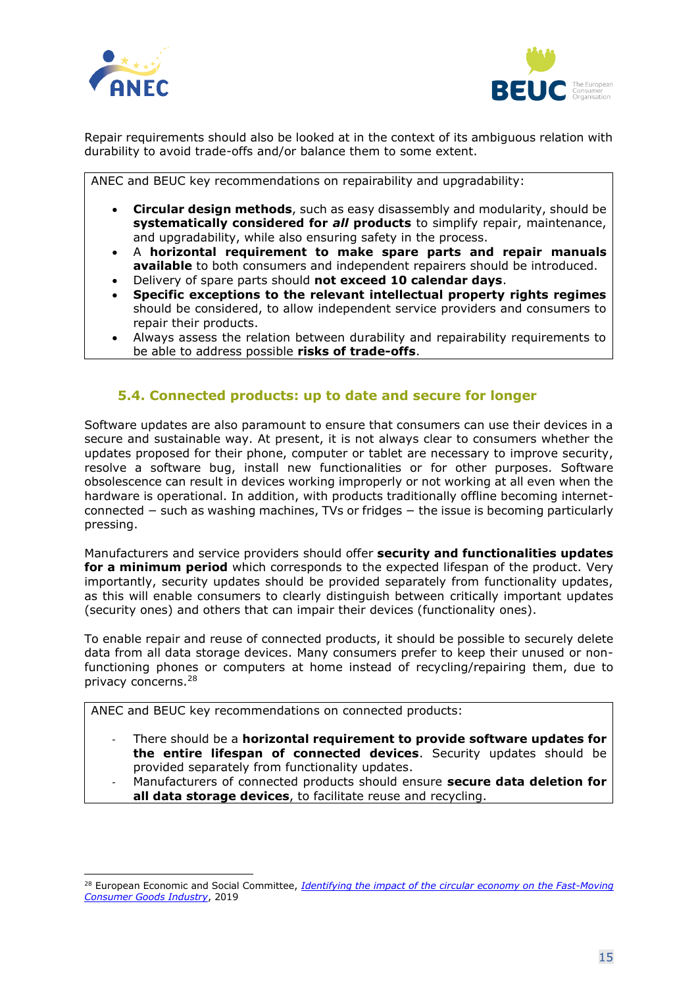



Repair requirements should also be looked at in the context of its ambiguous relation with durability to avoid trade-offs and/or balance them to some extent.

ANEC and BEUC key recommendations on repairability and upgradability:

- **Circular design methods**, such as easy disassembly and modularity, should be **systematically considered for** *all* **products** to simplify repair, maintenance, and upgradability, while also ensuring safety in the process.
- A **horizontal requirement to make spare parts and repair manuals available** to both consumers and independent repairers should be introduced.
- Delivery of spare parts should **not exceed 10 calendar days**.
- **Specific exceptions to the relevant intellectual property rights regimes**  should be considered, to allow independent service providers and consumers to repair their products.
- Always assess the relation between durability and repairability requirements to be able to address possible **risks of trade-offs**.

#### **5.4. Connected products: up to date and secure for longer**

<span id="page-14-0"></span>Software updates are also paramount to ensure that consumers can use their devices in a secure and sustainable way. At present, it is not always clear to consumers whether the updates proposed for their phone, computer or tablet are necessary to improve security, resolve a software bug, install new functionalities or for other purposes. Software obsolescence can result in devices working improperly or not working at all even when the hardware is operational. In addition, with products traditionally offline becoming internetconnected − such as washing machines, TVs or fridges − the issue is becoming particularly pressing.

Manufacturers and service providers should offer **security and functionalities updates for a minimum period** which corresponds to the expected lifespan of the product. Very importantly, security updates should be provided separately from functionality updates, as this will enable consumers to clearly distinguish between critically important updates (security ones) and others that can impair their devices (functionality ones).

To enable repair and reuse of connected products, it should be possible to securely delete data from all data storage devices. Many consumers prefer to keep their unused or nonfunctioning phones or computers at home instead of recycling/repairing them, due to privacy concerns.<sup>28</sup>

ANEC and BEUC key recommendations on connected products:

- There should be a **horizontal requirement to provide software updates for the entire lifespan of connected devices**. Security updates should be provided separately from functionality updates.
- Manufacturers of connected products should ensure **secure data deletion for all data storage devices**, to facilitate reuse and recycling.

<sup>28</sup> European Economic and Social Committee, *Identifying the impact of the [circular economy on the Fast-Moving](https://circulareconomy.europa.eu/platform/sites/default/files/impact_of_ce_on_fmcg_-_mobile_phones_case_study.pdf)  [Consumer Goods Industry](https://circulareconomy.europa.eu/platform/sites/default/files/impact_of_ce_on_fmcg_-_mobile_phones_case_study.pdf)*, 2019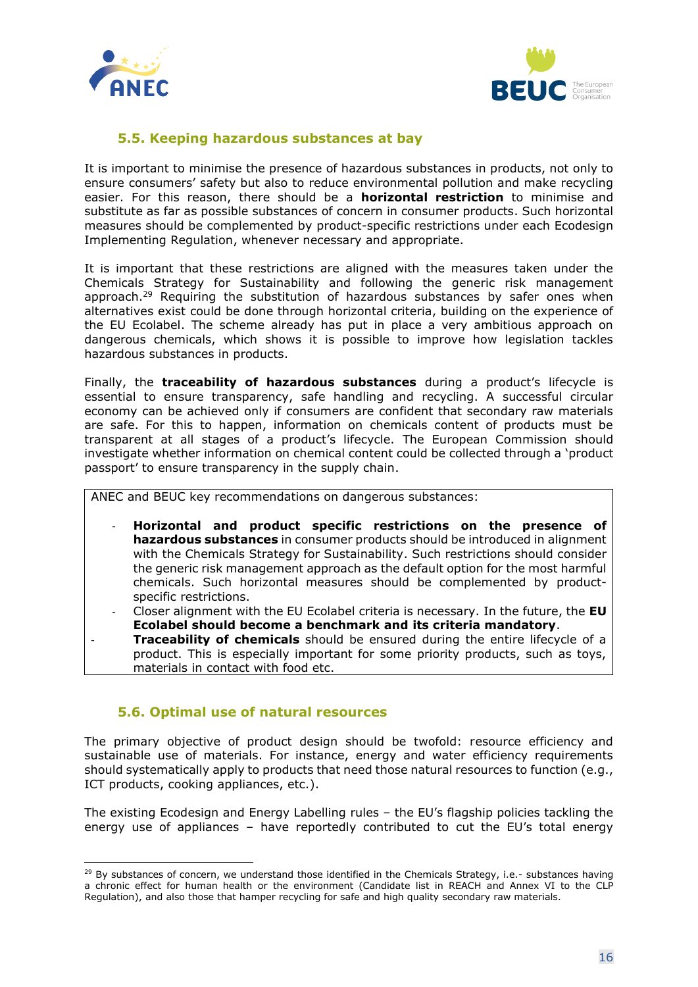



#### **5.5. Keeping hazardous substances at bay**

<span id="page-15-0"></span>It is important to minimise the presence of hazardous substances in products, not only to ensure consumers' safety but also to reduce environmental pollution and make recycling easier. For this reason, there should be a **horizontal restriction** to minimise and substitute as far as possible substances of concern in consumer products. Such horizontal measures should be complemented by product-specific restrictions under each Ecodesign Implementing Regulation, whenever necessary and appropriate.

It is important that these restrictions are aligned with the measures taken under the Chemicals Strategy for Sustainability and following the generic risk management approach.<sup>29</sup> Requiring the substitution of hazardous substances by safer ones when alternatives exist could be done through horizontal criteria, building on the experience of the EU Ecolabel. The scheme already has put in place a very ambitious approach on dangerous chemicals, which shows it is possible to improve how legislation tackles hazardous substances in products.

Finally, the **traceability of hazardous substances** during a product's lifecycle is essential to ensure transparency, safe handling and recycling. A successful circular economy can be achieved only if consumers are confident that secondary raw materials are safe. For this to happen, information on chemicals content of products must be transparent at all stages of a product's lifecycle. The European Commission should investigate whether information on chemical content could be collected through a 'product passport' to ensure transparency in the supply chain.

ANEC and BEUC key recommendations on dangerous substances:

- **Horizontal and product specific restrictions on the presence of hazardous substances** in consumer products should be introduced in alignment with the Chemicals Strategy for Sustainability. Such restrictions should consider the generic risk management approach as the default option for the most harmful chemicals. Such horizontal measures should be complemented by productspecific restrictions.
- Closer alignment with the EU Ecolabel criteria is necessary. In the future, the **EU Ecolabel should become a benchmark and its criteria mandatory**.
- **Traceability of chemicals** should be ensured during the entire lifecycle of a product. This is especially important for some priority products, such as toys, materials in contact with food etc.

#### **5.6. Optimal use of natural resources**

<span id="page-15-1"></span>The primary objective of product design should be twofold: resource efficiency and sustainable use of materials. For instance, energy and water efficiency requirements should systematically apply to products that need those natural resources to function (e.g., ICT products, cooking appliances, etc.).

The existing Ecodesign and Energy Labelling rules – the EU's flagship policies tackling the energy use of appliances – have reportedly contributed to cut the EU's total energy

<sup>&</sup>lt;sup>29</sup> By substances of concern, we understand those identified in the Chemicals Strategy, i.e.- substances having a chronic effect for human health or the environment (Candidate list in REACH and Annex VI to the CLP Regulation), and also those that hamper recycling for safe and high quality secondary raw materials.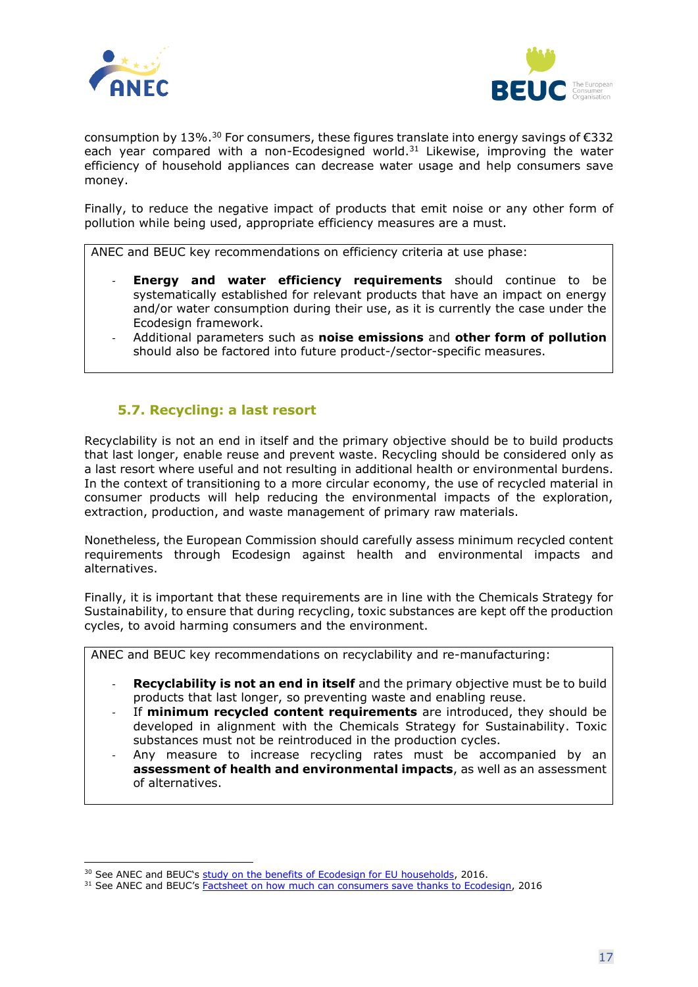



consumption by 13%.<sup>30</sup> For consumers, these figures translate into energy savings of  $\epsilon$ 332 each year compared with a non-Ecodesigned world.<sup>31</sup> Likewise, improving the water efficiency of household appliances can decrease water usage and help consumers save money.

Finally, to reduce the negative impact of products that emit noise or any other form of pollution while being used, appropriate efficiency measures are a must.

ANEC and BEUC key recommendations on efficiency criteria at use phase:

- **Energy and water efficiency requirements** should continue to be systematically established for relevant products that have an impact on energy and/or water consumption during their use, as it is currently the case under the Ecodesign framework.
- Additional parameters such as **noise emissions** and **other form of pollution** should also be factored into future product-/sector-specific measures.

#### <span id="page-16-0"></span>**5.7. Recycling: a last resort**

Recyclability is not an end in itself and the primary objective should be to build products that last longer, enable reuse and prevent waste. Recycling should be considered only as a last resort where useful and not resulting in additional health or environmental burdens. In the context of transitioning to a more circular economy, the use of recycled material in consumer products will help reducing the environmental impacts of the exploration, extraction, production, and waste management of primary raw materials.

Nonetheless, the European Commission should carefully assess minimum recycled content requirements through Ecodesign against health and environmental impacts and alternatives.

Finally, it is important that these requirements are in line with the Chemicals Strategy for Sustainability, to ensure that during recycling, toxic substances are kept off the production cycles, to avoid harming consumers and the environment.

ANEC and BEUC key recommendations on recyclability and re-manufacturing:

- **Recyclability is not an end in itself** and the primary objective must be to build products that last longer, so preventing waste and enabling reuse.
- If **minimum recycled content requirements** are introduced, they should be developed in alignment with the Chemicals Strategy for Sustainability. Toxic substances must not be reintroduced in the production cycles.
- Any measure to increase recycling rates must be accompanied by an **assessment of health and environmental impacts**, as well as an assessment of alternatives.

<sup>&</sup>lt;sup>30</sup> See ANEC and BEUC's [study on the benefits of Ecodesign for EU households,](https://www.beuc.eu/publications/beuc-x-2016-108-benefits_of_ecodesign_for_eu_households.pdf) 2016.

<sup>&</sup>lt;sup>31</sup> See ANEC and BEUC's **Factsheet on how much can consumers save thanks to Ecodesign**, 2016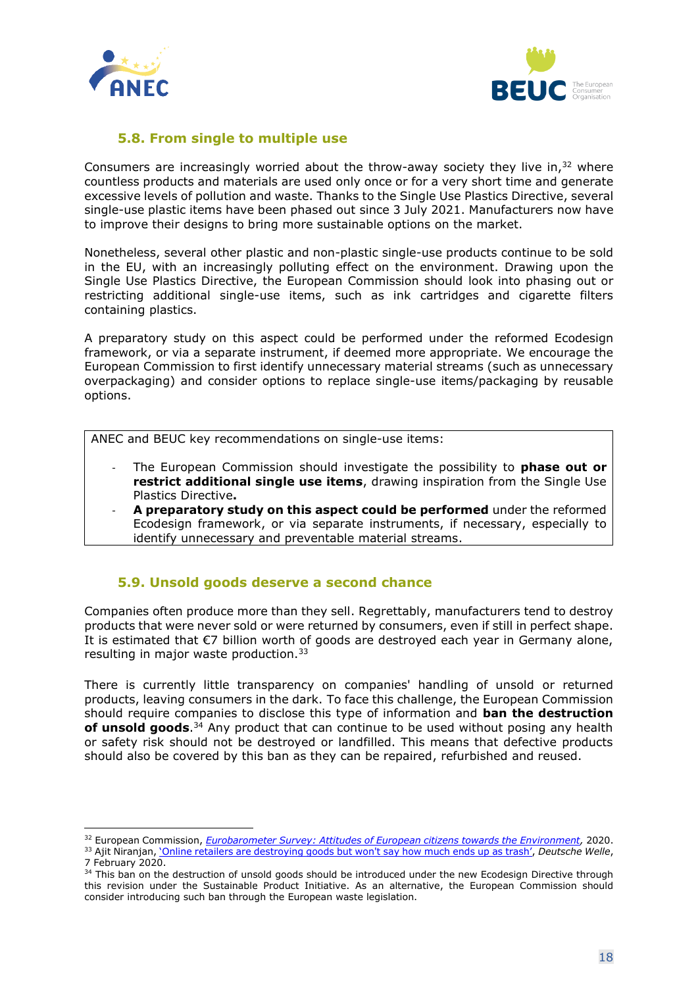



#### **5.8. From single to multiple use**

<span id="page-17-0"></span>Consumers are increasingly worried about the throw-away society they live in, $32$  where countless products and materials are used only once or for a very short time and generate excessive levels of pollution and waste. Thanks to the Single Use Plastics Directive, several single-use plastic items have been phased out since 3 July 2021. Manufacturers now have to improve their designs to bring more sustainable options on the market.

Nonetheless, several other plastic and non-plastic single-use products continue to be sold in the EU, with an increasingly polluting effect on the environment. Drawing upon the Single Use Plastics Directive, the European Commission should look into phasing out or restricting additional single-use items, such as ink cartridges and cigarette filters containing plastics.

A preparatory study on this aspect could be performed under the reformed Ecodesign framework, or via a separate instrument, if deemed more appropriate. We encourage the European Commission to first identify unnecessary material streams (such as unnecessary overpackaging) and consider options to replace single-use items/packaging by reusable options.

ANEC and BEUC key recommendations on single-use items:

- The European Commission should investigate the possibility to **phase out or restrict additional single use items**, drawing inspiration from the Single Use Plastics Directive**.**
- A preparatory study on this aspect could be performed under the reformed Ecodesign framework, or via separate instruments, if necessary, especially to identify unnecessary and preventable material streams.

#### <span id="page-17-1"></span>**5.9. Unsold goods deserve a second chance**

Companies often produce more than they sell. Regrettably, manufacturers tend to destroy products that were never sold or were returned by consumers, even if still in perfect shape. It is estimated that €7 billion worth of goods are destroyed each year in Germany alone, resulting in major waste production.<sup>33</sup>

There is currently little transparency on companies' handling of unsold or returned products, leaving consumers in the dark. To face this challenge, the European Commission should require companies to disclose this type of information and **ban the destruction of unsold goods**. <sup>34</sup> Any product that can continue to be used without posing any health or safety risk should not be destroyed or landfilled. This means that defective products should also be covered by this ban as they can be repaired, refurbished and reused.

<sup>32</sup> European Commission, *[Eurobarometer Survey: Attitudes of European citizens towards the Environment,](https://europa.eu/eurobarometer/surveys/detail/2257)* 2020.

<sup>&</sup>lt;sup>33</sup> Ajit Niranjan, <u>['Online retailers are destroying goods but won't](https://www.dw.com/en/destroy-packages-online-shopping/a-52281567) say how much ends up as trash'</u>, Deutsche Welle, 7 February 2020.

<sup>&</sup>lt;sup>34</sup> This ban on the destruction of unsold goods should be introduced under the new Ecodesign Directive through this revision under the Sustainable Product Initiative. As an alternative, the European Commission should consider introducing such ban through the European waste legislation.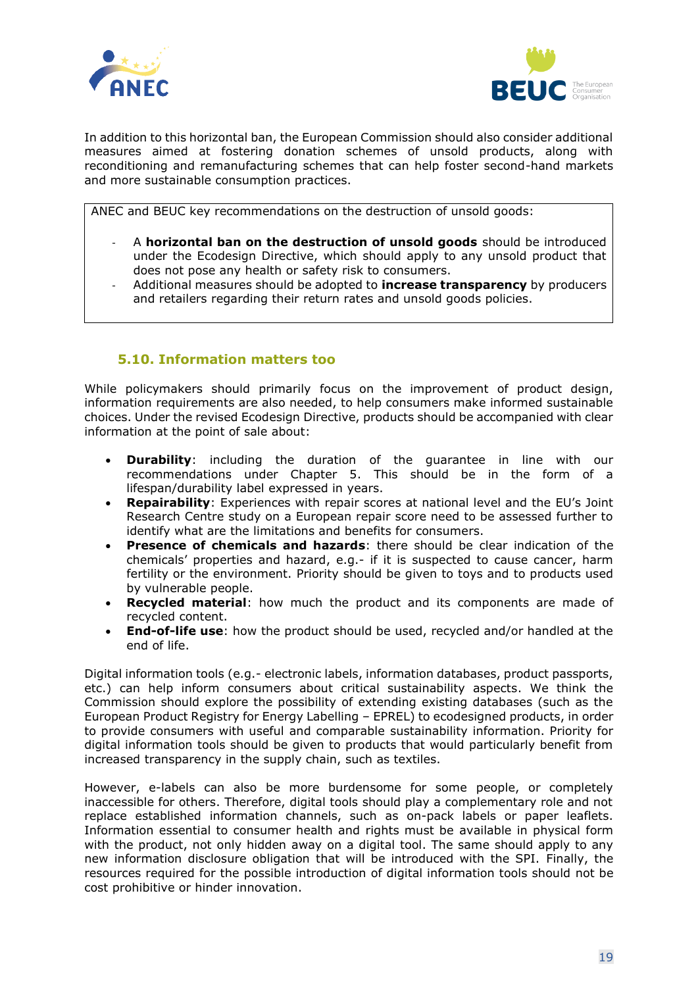



In addition to this horizontal ban, the European Commission should also consider additional measures aimed at fostering donation schemes of unsold products, along with reconditioning and remanufacturing schemes that can help foster second-hand markets and more sustainable consumption practices.

ANEC and BEUC key recommendations on the destruction of unsold goods:

- A **horizontal ban on the destruction of unsold goods** should be introduced under the Ecodesign Directive, which should apply to any unsold product that does not pose any health or safety risk to consumers.
- Additional measures should be adopted to **increase transparency** by producers and retailers regarding their return rates and unsold goods policies.

#### **5.10. Information matters too**

<span id="page-18-0"></span>While policymakers should primarily focus on the improvement of product design, information requirements are also needed, to help consumers make informed sustainable choices. Under the revised Ecodesign Directive, products should be accompanied with clear information at the point of sale about:

- **Durability**: including the duration of the guarantee in line with our recommendations under Chapter 5. This should be in the form of a lifespan/durability label expressed in years.
- **Repairability**: Experiences with repair scores at national level and the EU's Joint Research Centre study on a European repair score need to be assessed further to identify what are the limitations and benefits for consumers.
- **Presence of chemicals and hazards**: there should be clear indication of the chemicals' properties and hazard, e.g.- if it is suspected to cause cancer, harm fertility or the environment. Priority should be given to toys and to products used by vulnerable people.
- **Recycled material**: how much the product and its components are made of recycled content.
- **End-of-life use**: how the product should be used, recycled and/or handled at the end of life.

Digital information tools (e.g.- electronic labels, information databases, product passports, etc.) can help inform consumers about critical sustainability aspects. We think the Commission should explore the possibility of extending existing databases (such as the European Product Registry for Energy Labelling – EPREL) to ecodesigned products, in order to provide consumers with useful and comparable sustainability information. Priority for digital information tools should be given to products that would particularly benefit from increased transparency in the supply chain, such as textiles.

However, e-labels can also be more burdensome for some people, or completely inaccessible for others. Therefore, digital tools should play a complementary role and not replace established information channels, such as on-pack labels or paper leaflets. Information essential to consumer health and rights must be available in physical form with the product, not only hidden away on a digital tool. The same should apply to any new information disclosure obligation that will be introduced with the SPI. Finally, the resources required for the possible introduction of digital information tools should not be cost prohibitive or hinder innovation.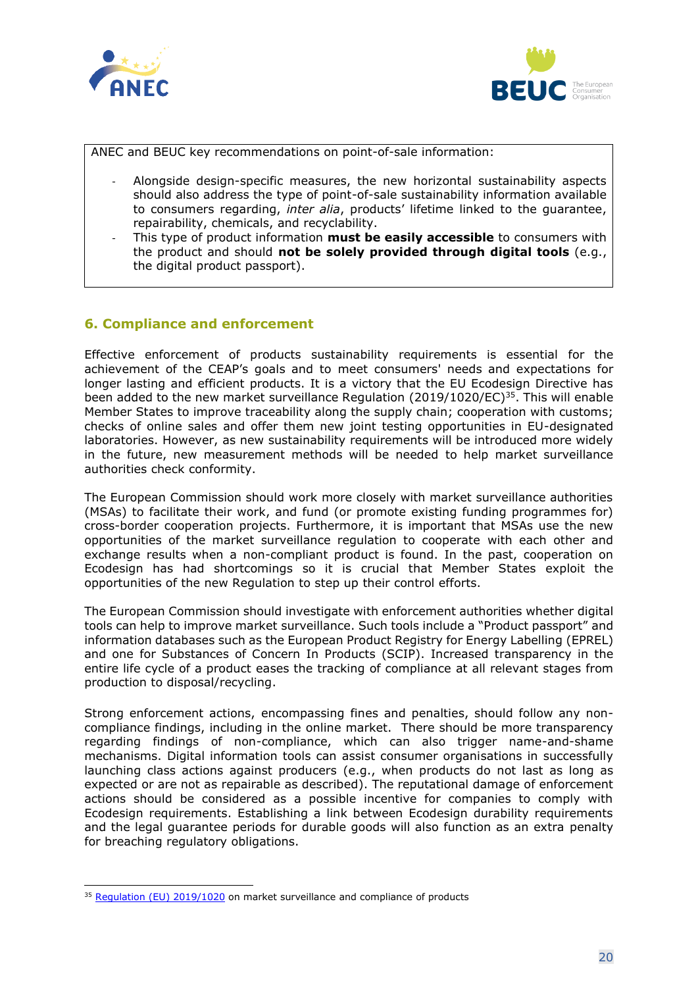



ANEC and BEUC key recommendations on point-of-sale information:

- Alongside design-specific measures, the new horizontal sustainability aspects should also address the type of point-of-sale sustainability information available to consumers regarding, *inter alia*, products' lifetime linked to the guarantee, repairability, chemicals, and recyclability.
- This type of product information **must be easily accessible** to consumers with the product and should **not be solely provided through digital tools** (e.g., the digital product passport).

#### <span id="page-19-0"></span>**6. Compliance and enforcement**

Effective enforcement of products sustainability requirements is essential for the achievement of the CEAP's goals and to meet consumers' needs and expectations for longer lasting and efficient products. It is a victory that the EU Ecodesign Directive has been added to the new market surveillance Regulation (2019/1020/EC)<sup>35</sup>. This will enable Member States to improve traceability along the supply chain; cooperation with customs; checks of online sales and offer them new joint testing opportunities in EU-designated laboratories. However, as new sustainability requirements will be introduced more widely in the future, new measurement methods will be needed to help market surveillance authorities check conformity.

The European Commission should work more closely with market surveillance authorities (MSAs) to facilitate their work, and fund (or promote existing funding programmes for) cross-border cooperation projects. Furthermore, it is important that MSAs use the new opportunities of the market surveillance regulation to cooperate with each other and exchange results when a non-compliant product is found. In the past, cooperation on Ecodesign has had shortcomings so it is crucial that Member States exploit the opportunities of the new Regulation to step up their control efforts.

The European Commission should investigate with enforcement authorities whether digital tools can help to improve market surveillance. Such tools include a "Product passport" and information databases such as the European Product Registry for Energy Labelling (EPREL) and one for Substances of Concern In Products (SCIP). Increased transparency in the entire life cycle of a product eases the tracking of compliance at all relevant stages from production to disposal/recycling.

Strong enforcement actions, encompassing fines and penalties, should follow any noncompliance findings, including in the online market. There should be more transparency regarding findings of non-compliance, which can also trigger name-and-shame mechanisms. Digital information tools can assist consumer organisations in successfully launching class actions against producers (e.g., when products do not last as long as expected or are not as repairable as described). The reputational damage of enforcement actions should be considered as a possible incentive for companies to comply with Ecodesign requirements. Establishing a link between Ecodesign durability requirements and the legal guarantee periods for durable goods will also function as an extra penalty for breaching regulatory obligations.

<sup>&</sup>lt;sup>35</sup> [Regulation \(EU\) 2019/1020](https://eur-lex.europa.eu/legal-content/EN/TXT/?uri=celex:32019R1020) on market surveillance and compliance of products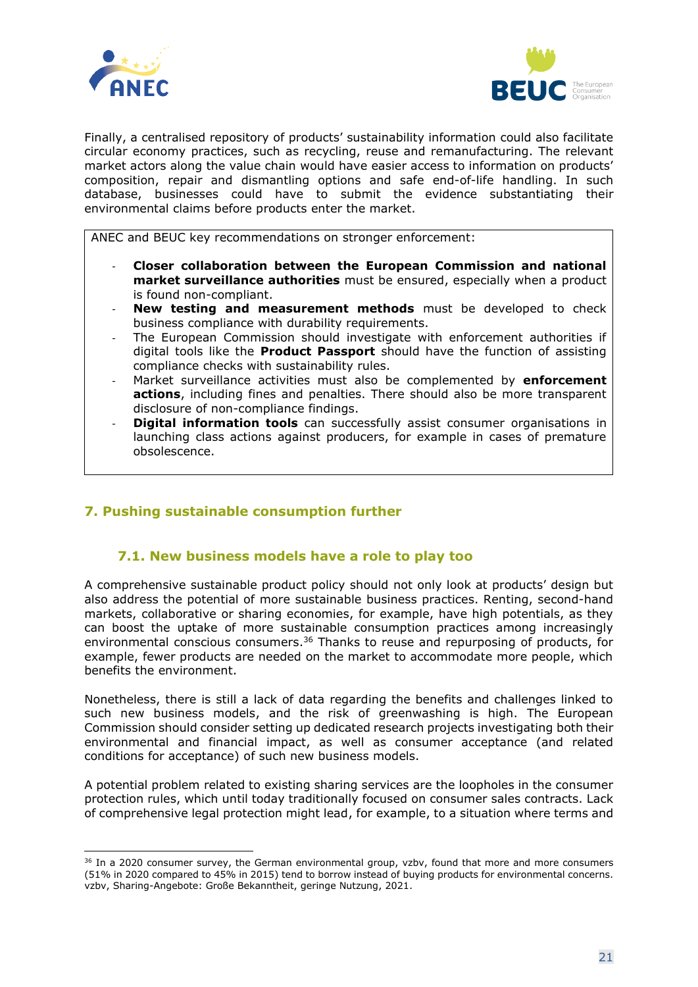



Finally, a centralised repository of products' sustainability information could also facilitate circular economy practices, such as recycling, reuse and remanufacturing. The relevant market actors along the value chain would have easier access to information on products' composition, repair and dismantling options and safe end-of-life handling. In such database, businesses could have to submit the evidence substantiating their environmental claims before products enter the market.

ANEC and BEUC key recommendations on stronger enforcement:

- **Closer collaboration between the European Commission and national market surveillance authorities** must be ensured, especially when a product is found non-compliant.
- **New testing and measurement methods** must be developed to check business compliance with durability requirements.
- The European Commission should investigate with enforcement authorities if digital tools like the **Product Passport** should have the function of assisting compliance checks with sustainability rules.
- Market surveillance activities must also be complemented by **enforcement actions**, including fines and penalties. There should also be more transparent disclosure of non-compliance findings.
- **Digital information tools** can successfully assist consumer organisations in launching class actions against producers, for example in cases of premature obsolescence.

#### <span id="page-20-0"></span>**7. Pushing sustainable consumption further**

#### **7.1. New business models have a role to play too**

<span id="page-20-1"></span>A comprehensive sustainable product policy should not only look at products' design but also address the potential of more sustainable business practices. Renting, second-hand markets, collaborative or sharing economies, for example, have high potentials, as they can boost the uptake of more sustainable consumption practices among increasingly environmental conscious consumers.<sup>36</sup> Thanks to reuse and repurposing of products, for example, fewer products are needed on the market to accommodate more people, which benefits the environment.

Nonetheless, there is still a lack of data regarding the benefits and challenges linked to such new business models, and the risk of greenwashing is high. The European Commission should consider setting up dedicated research projects investigating both their environmental and financial impact, as well as consumer acceptance (and related conditions for acceptance) of such new business models.

A potential problem related to existing sharing services are the loopholes in the consumer protection rules, which until today traditionally focused on consumer sales contracts. Lack of comprehensive legal protection might lead, for example, to a situation where terms and

<sup>&</sup>lt;sup>36</sup> In a 2020 consumer survey, the German environmental group, vzbv, found that more and more consumers (51% in 2020 compared to 45% in 2015) tend to borrow instead of buying products for environmental concerns. vzbv, [Sharing-Angebote: Große Bekanntheit, geringe Nutzung,](https://www.vzbv.de/pressemitteilungen/sharing-angebote-grosse-bekanntheit-geringe-nutzung) 2021.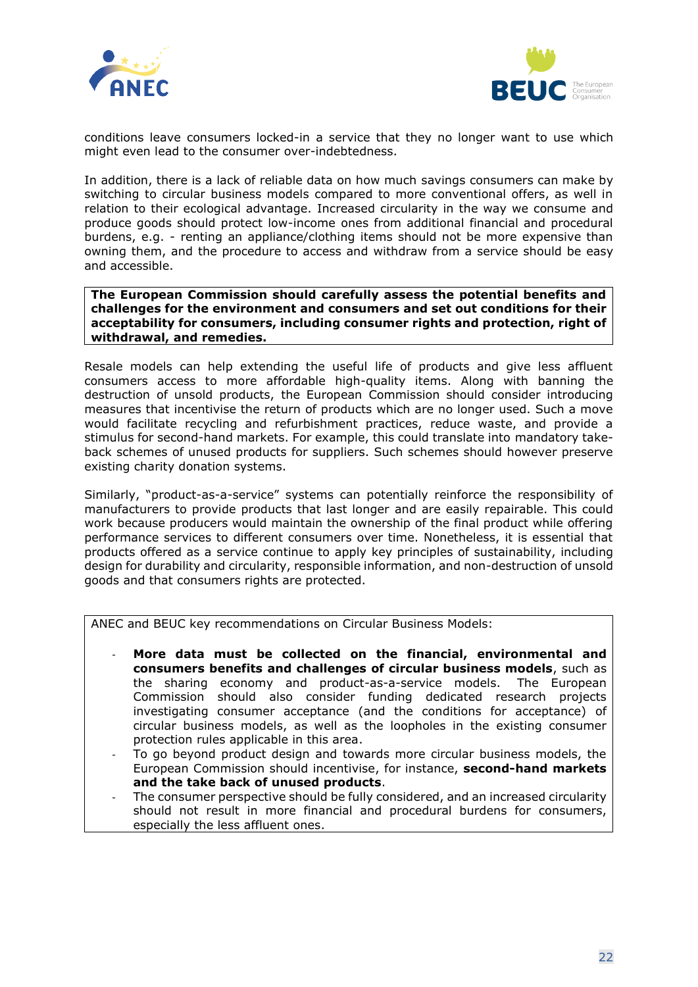



conditions leave consumers locked-in a service that they no longer want to use which might even lead to the consumer over-indebtedness.

In addition, there is a lack of reliable data on how much savings consumers can make by switching to circular business models compared to more conventional offers, as well in relation to their ecological advantage. Increased circularity in the way we consume and produce goods should protect low-income ones from additional financial and procedural burdens, e.g. - renting an appliance/clothing items should not be more expensive than owning them, and the procedure to access and withdraw from a service should be easy and accessible.

**The European Commission should carefully assess the potential benefits and challenges for the environment and consumers and set out conditions for their acceptability for consumers, including consumer rights and protection, right of withdrawal, and remedies.**

Resale models can help extending the useful life of products and give less affluent consumers access to more affordable high-quality items. Along with banning the destruction of unsold products, the European Commission should consider introducing measures that incentivise the return of products which are no longer used. Such a move would facilitate recycling and refurbishment practices, reduce waste, and provide a stimulus for second-hand markets. For example, this could translate into mandatory takeback schemes of unused products for suppliers. Such schemes should however preserve existing charity donation systems.

Similarly, "product-as-a-service" systems can potentially reinforce the responsibility of manufacturers to provide products that last longer and are easily repairable. This could work because producers would maintain the ownership of the final product while offering performance services to different consumers over time. Nonetheless, it is essential that products offered as a service continue to apply key principles of sustainability, including design for durability and circularity, responsible information, and non-destruction of unsold goods and that consumers rights are protected.

ANEC and BEUC key recommendations on Circular Business Models:

- **More data must be collected on the financial, environmental and consumers benefits and challenges of circular business models**, such as the sharing economy and product-as-a-service models. The European Commission should also consider funding dedicated research projects investigating consumer acceptance (and the conditions for acceptance) of circular business models, as well as the loopholes in the existing consumer protection rules applicable in this area.
- To go beyond product design and towards more circular business models, the European Commission should incentivise, for instance, **second-hand markets and the take back of unused products**.
- The consumer perspective should be fully considered, and an increased circularity should not result in more financial and procedural burdens for consumers, especially the less affluent ones.